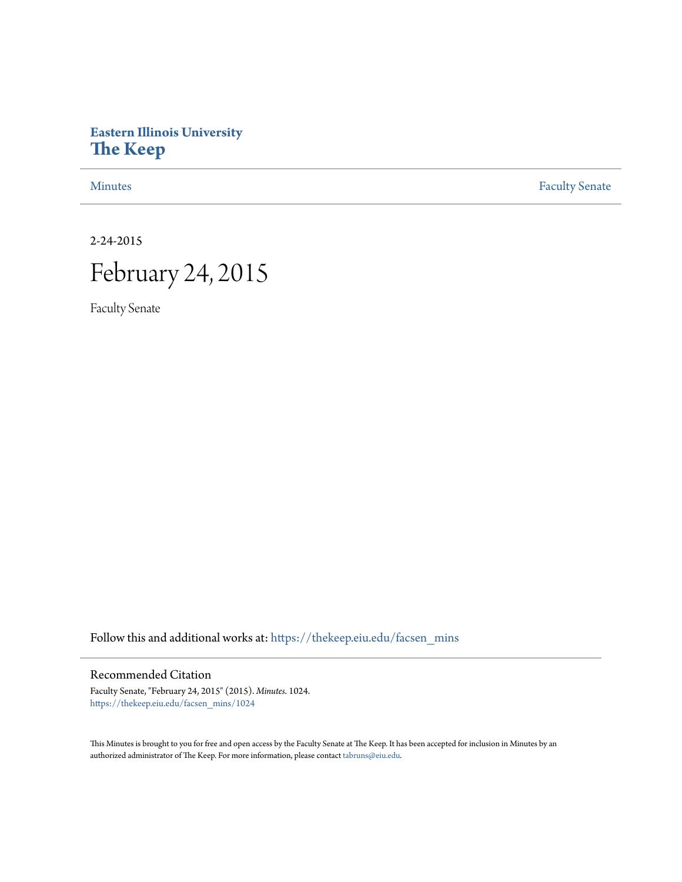# **Eastern Illinois University [The Keep](https://thekeep.eiu.edu?utm_source=thekeep.eiu.edu%2Ffacsen_mins%2F1024&utm_medium=PDF&utm_campaign=PDFCoverPages)**

[Minutes](https://thekeep.eiu.edu/facsen_mins?utm_source=thekeep.eiu.edu%2Ffacsen_mins%2F1024&utm_medium=PDF&utm_campaign=PDFCoverPages) **[Faculty Senate](https://thekeep.eiu.edu/fac_senate?utm_source=thekeep.eiu.edu%2Ffacsen_mins%2F1024&utm_medium=PDF&utm_campaign=PDFCoverPages)** 

2-24-2015

# February 24, 2015

Faculty Senate

Follow this and additional works at: [https://thekeep.eiu.edu/facsen\\_mins](https://thekeep.eiu.edu/facsen_mins?utm_source=thekeep.eiu.edu%2Ffacsen_mins%2F1024&utm_medium=PDF&utm_campaign=PDFCoverPages)

# Recommended Citation

Faculty Senate, "February 24, 2015" (2015). *Minutes*. 1024. [https://thekeep.eiu.edu/facsen\\_mins/1024](https://thekeep.eiu.edu/facsen_mins/1024?utm_source=thekeep.eiu.edu%2Ffacsen_mins%2F1024&utm_medium=PDF&utm_campaign=PDFCoverPages)

This Minutes is brought to you for free and open access by the Faculty Senate at The Keep. It has been accepted for inclusion in Minutes by an authorized administrator of The Keep. For more information, please contact [tabruns@eiu.edu](mailto:tabruns@eiu.edu).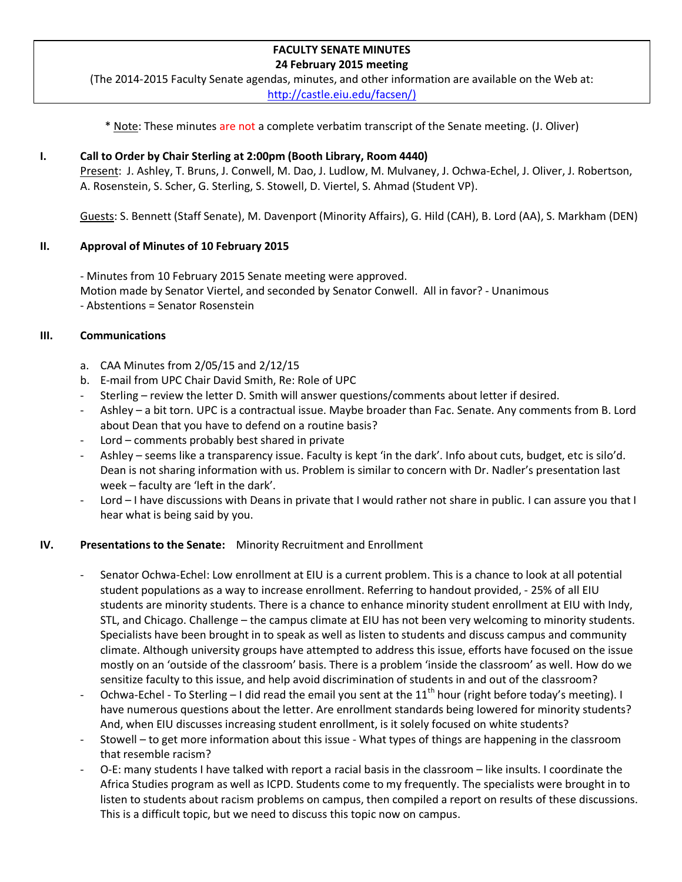#### **FACULTY SENATE MINUTES 24 February 2015 meeting**

(The 2014-2015 Faculty Senate agendas, minutes, and other information are available on the Web at: [http://castle.eiu.edu/facsen/\)](http://castle.eiu.edu/facsen/)

\* Note: These minutes are not a complete verbatim transcript of the Senate meeting. (J. Oliver)

# **I. Call to Order by Chair Sterling at 2:00pm (Booth Library, Room 4440)**

Present: J. Ashley, T. Bruns, J. Conwell, M. Dao, J. Ludlow, M. Mulvaney, J. Ochwa-Echel, J. Oliver, J. Robertson, A. Rosenstein, S. Scher, G. Sterling, S. Stowell, D. Viertel, S. Ahmad (Student VP).

Guests: S. Bennett (Staff Senate), M. Davenport (Minority Affairs), G. Hild (CAH), B. Lord (AA), S. Markham (DEN)

# **II. Approval of Minutes of 10 February 2015**

- Minutes from 10 February 2015 Senate meeting were approved. Motion made by Senator Viertel, and seconded by Senator Conwell. All in favor? - Unanimous - Abstentions = Senator Rosenstein

# **III. Communications**

- a. CAA Minutes from 2/05/15 and 2/12/15
- b. E-mail from UPC Chair David Smith, Re: Role of UPC
- Sterling review the letter D. Smith will answer questions/comments about letter if desired.
- Ashley a bit torn. UPC is a contractual issue. Maybe broader than Fac. Senate. Any comments from B. Lord about Dean that you have to defend on a routine basis?
- $Lord$  comments probably best shared in private
- Ashley seems like a transparency issue. Faculty is kept 'in the dark'. Info about cuts, budget, etc is silo'd. Dean is not sharing information with us. Problem is similar to concern with Dr. Nadler's presentation last week – faculty are 'left in the dark'.
- Lord I have discussions with Deans in private that I would rather not share in public. I can assure you that I hear what is being said by you.

# **IV. Presentations to the Senate:** Minority Recruitment and Enrollment

- Senator Ochwa-Echel: Low enrollment at EIU is a current problem. This is a chance to look at all potential student populations as a way to increase enrollment. Referring to handout provided, - 25% of all EIU students are minority students. There is a chance to enhance minority student enrollment at EIU with Indy, STL, and Chicago. Challenge – the campus climate at EIU has not been very welcoming to minority students. Specialists have been brought in to speak as well as listen to students and discuss campus and community climate. Although university groups have attempted to address this issue, efforts have focused on the issue mostly on an 'outside of the classroom' basis. There is a problem 'inside the classroom' as well. How do we sensitize faculty to this issue, and help avoid discrimination of students in and out of the classroom?
- Ochwa-Echel To Sterling I did read the email you sent at the  $11^{th}$  hour (right before today's meeting). I have numerous questions about the letter. Are enrollment standards being lowered for minority students? And, when EIU discusses increasing student enrollment, is it solely focused on white students?
- Stowell to get more information about this issue What types of things are happening in the classroom that resemble racism?
- O-E: many students I have talked with report a racial basis in the classroom like insults. I coordinate the Africa Studies program as well as ICPD. Students come to my frequently. The specialists were brought in to listen to students about racism problems on campus, then compiled a report on results of these discussions. This is a difficult topic, but we need to discuss this topic now on campus.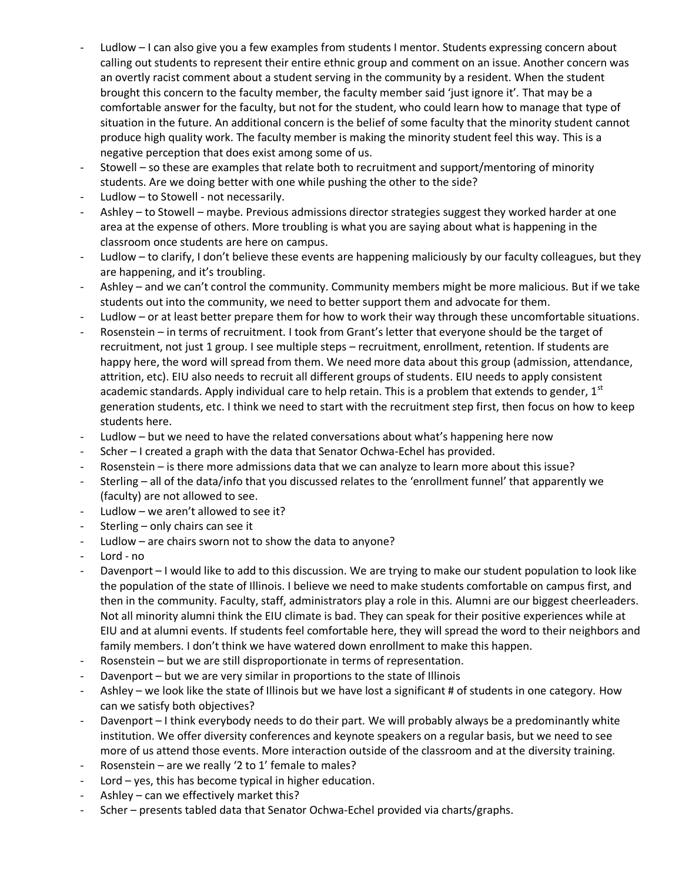- Ludlow I can also give you a few examples from students I mentor. Students expressing concern about calling out students to represent their entire ethnic group and comment on an issue. Another concern was an overtly racist comment about a student serving in the community by a resident. When the student brought this concern to the faculty member, the faculty member said 'just ignore it'. That may be a comfortable answer for the faculty, but not for the student, who could learn how to manage that type of situation in the future. An additional concern is the belief of some faculty that the minority student cannot produce high quality work. The faculty member is making the minority student feel this way. This is a negative perception that does exist among some of us.
- Stowell so these are examples that relate both to recruitment and support/mentoring of minority students. Are we doing better with one while pushing the other to the side?
- Ludlow to Stowell not necessarily.
- Ashley to Stowell maybe. Previous admissions director strategies suggest they worked harder at one area at the expense of others. More troubling is what you are saying about what is happening in the classroom once students are here on campus.
- Ludlow to clarify, I don't believe these events are happening maliciously by our faculty colleagues, but they are happening, and it's troubling.
- Ashley and we can't control the community. Community members might be more malicious. But if we take students out into the community, we need to better support them and advocate for them.
- Ludlow or at least better prepare them for how to work their way through these uncomfortable situations.
- Rosenstein in terms of recruitment. I took from Grant's letter that everyone should be the target of recruitment, not just 1 group. I see multiple steps – recruitment, enrollment, retention. If students are happy here, the word will spread from them. We need more data about this group (admission, attendance, attrition, etc). EIU also needs to recruit all different groups of students. EIU needs to apply consistent academic standards. Apply individual care to help retain. This is a problem that extends to gender,  $1<sup>st</sup>$ generation students, etc. I think we need to start with the recruitment step first, then focus on how to keep students here.
- Ludlow but we need to have the related conversations about what's happening here now
- Scher I created a graph with the data that Senator Ochwa-Echel has provided.
- Rosenstein is there more admissions data that we can analyze to learn more about this issue?
- Sterling all of the data/info that you discussed relates to the 'enrollment funnel' that apparently we (faculty) are not allowed to see.
- Ludlow we aren't allowed to see it?
- Sterling only chairs can see it
- Ludlow  $-$  are chairs sworn not to show the data to anyone?
- Lord no
- Davenport I would like to add to this discussion. We are trying to make our student population to look like the population of the state of Illinois. I believe we need to make students comfortable on campus first, and then in the community. Faculty, staff, administrators play a role in this. Alumni are our biggest cheerleaders. Not all minority alumni think the EIU climate is bad. They can speak for their positive experiences while at EIU and at alumni events. If students feel comfortable here, they will spread the word to their neighbors and family members. I don't think we have watered down enrollment to make this happen.
- Rosenstein but we are still disproportionate in terms of representation.
- Davenport but we are very similar in proportions to the state of Illinois
- Ashley we look like the state of Illinois but we have lost a significant # of students in one category. How can we satisfy both objectives?
- Davenport I think everybody needs to do their part. We will probably always be a predominantly white institution. We offer diversity conferences and keynote speakers on a regular basis, but we need to see more of us attend those events. More interaction outside of the classroom and at the diversity training.
- Rosenstein are we really '2 to 1' female to males?
- Lord  $-$  yes, this has become typical in higher education.
- Ashley can we effectively market this?
- Scher presents tabled data that Senator Ochwa-Echel provided via charts/graphs.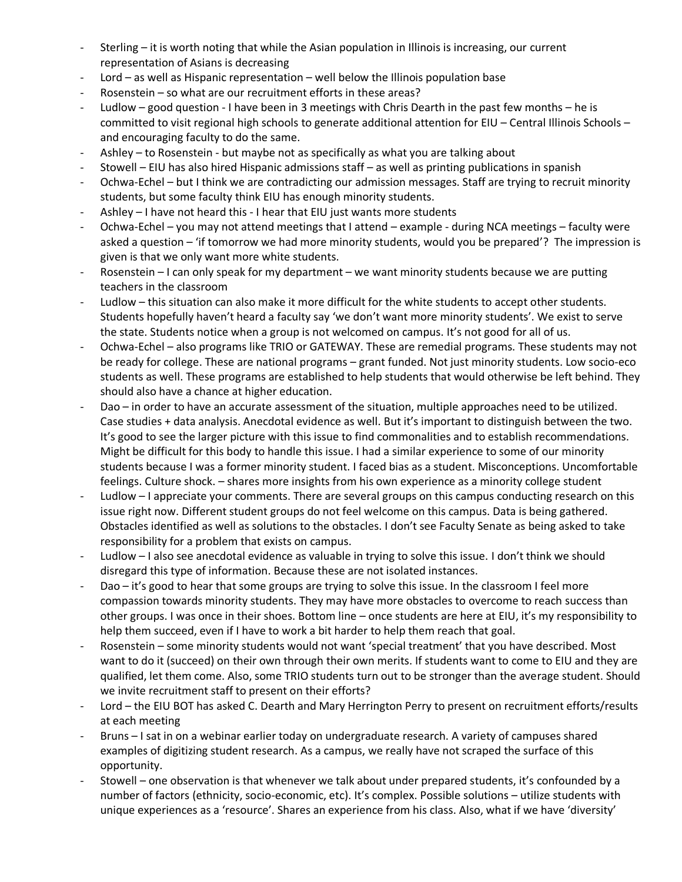- Sterling it is worth noting that while the Asian population in Illinois is increasing, our current representation of Asians is decreasing
- Lord as well as Hispanic representation well below the Illinois population base
- Rosenstein so what are our recruitment efforts in these areas?
- Ludlow good question I have been in 3 meetings with Chris Dearth in the past few months he is committed to visit regional high schools to generate additional attention for EIU – Central Illinois Schools – and encouraging faculty to do the same.
- Ashley  $-$  to Rosenstein but maybe not as specifically as what you are talking about
- Stowell EIU has also hired Hispanic admissions staff as well as printing publications in spanish
- Ochwa-Echel but I think we are contradicting our admission messages. Staff are trying to recruit minority students, but some faculty think EIU has enough minority students.
- Ashley I have not heard this I hear that EIU just wants more students
- Ochwa-Echel you may not attend meetings that I attend example during NCA meetings faculty were asked a question – 'if tomorrow we had more minority students, would you be prepared'? The impression is given is that we only want more white students.
- Rosenstein  $-1$  can only speak for my department we want minority students because we are putting teachers in the classroom
- Ludlow this situation can also make it more difficult for the white students to accept other students. Students hopefully haven't heard a faculty say 'we don't want more minority students'. We exist to serve the state. Students notice when a group is not welcomed on campus. It's not good for all of us.
- Ochwa-Echel also programs like TRIO or GATEWAY. These are remedial programs. These students may not be ready for college. These are national programs – grant funded. Not just minority students. Low socio-eco students as well. These programs are established to help students that would otherwise be left behind. They should also have a chance at higher education.
- Dao in order to have an accurate assessment of the situation, multiple approaches need to be utilized. Case studies + data analysis. Anecdotal evidence as well. But it's important to distinguish between the two. It's good to see the larger picture with this issue to find commonalities and to establish recommendations. Might be difficult for this body to handle this issue. I had a similar experience to some of our minority students because I was a former minority student. I faced bias as a student. Misconceptions. Uncomfortable feelings. Culture shock. – shares more insights from his own experience as a minority college student
- Ludlow I appreciate your comments. There are several groups on this campus conducting research on this issue right now. Different student groups do not feel welcome on this campus. Data is being gathered. Obstacles identified as well as solutions to the obstacles. I don't see Faculty Senate as being asked to take responsibility for a problem that exists on campus.
- Ludlow I also see anecdotal evidence as valuable in trying to solve this issue. I don't think we should disregard this type of information. Because these are not isolated instances.
- Dao it's good to hear that some groups are trying to solve this issue. In the classroom I feel more compassion towards minority students. They may have more obstacles to overcome to reach success than other groups. I was once in their shoes. Bottom line – once students are here at EIU, it's my responsibility to help them succeed, even if I have to work a bit harder to help them reach that goal.
- Rosenstein some minority students would not want 'special treatment' that you have described. Most want to do it (succeed) on their own through their own merits. If students want to come to EIU and they are qualified, let them come. Also, some TRIO students turn out to be stronger than the average student. Should we invite recruitment staff to present on their efforts?
- Lord the EIU BOT has asked C. Dearth and Mary Herrington Perry to present on recruitment efforts/results at each meeting
- Bruns I sat in on a webinar earlier today on undergraduate research. A variety of campuses shared examples of digitizing student research. As a campus, we really have not scraped the surface of this opportunity.
- Stowell one observation is that whenever we talk about under prepared students, it's confounded by a number of factors (ethnicity, socio-economic, etc). It's complex. Possible solutions – utilize students with unique experiences as a 'resource'. Shares an experience from his class. Also, what if we have 'diversity'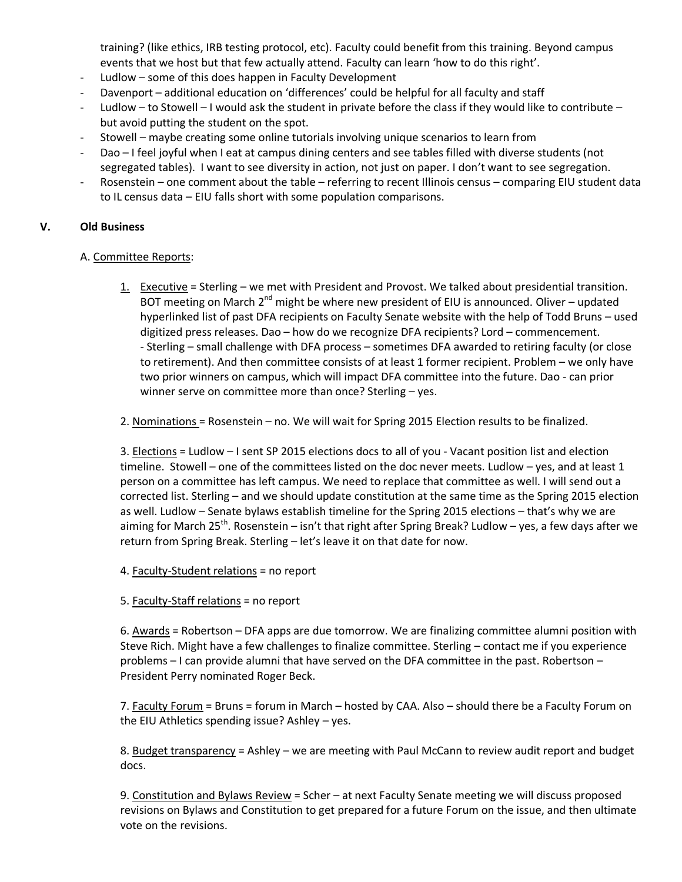training? (like ethics, IRB testing protocol, etc). Faculty could benefit from this training. Beyond campus events that we host but that few actually attend. Faculty can learn 'how to do this right'.

- Ludlow some of this does happen in Faculty Development
- Davenport additional education on 'differences' could be helpful for all faculty and staff
- Ludlow to Stowell I would ask the student in private before the class if they would like to contribute but avoid putting the student on the spot.
- Stowell maybe creating some online tutorials involving unique scenarios to learn from
- Dao I feel joyful when I eat at campus dining centers and see tables filled with diverse students (not segregated tables). I want to see diversity in action, not just on paper. I don't want to see segregation.
- Rosenstein one comment about the table referring to recent Illinois census comparing EIU student data to IL census data – EIU falls short with some population comparisons.

# **V. Old Business**

# A. Committee Reports:

- 1. Executive = Sterling we met with President and Provost. We talked about presidential transition. BOT meeting on March  $2^{nd}$  might be where new president of EIU is announced. Oliver – updated hyperlinked list of past DFA recipients on Faculty Senate website with the help of Todd Bruns – used digitized press releases. Dao – how do we recognize DFA recipients? Lord – commencement. - Sterling – small challenge with DFA process – sometimes DFA awarded to retiring faculty (or close to retirement). And then committee consists of at least 1 former recipient. Problem – we only have two prior winners on campus, which will impact DFA committee into the future. Dao - can prior winner serve on committee more than once? Sterling – yes.
- 2. Nominations = Rosenstein no. We will wait for Spring 2015 Election results to be finalized.

3. Elections = Ludlow – I sent SP 2015 elections docs to all of you - Vacant position list and election timeline. Stowell – one of the committees listed on the doc never meets. Ludlow – yes, and at least 1 person on a committee has left campus. We need to replace that committee as well. I will send out a corrected list. Sterling – and we should update constitution at the same time as the Spring 2015 election as well. Ludlow – Senate bylaws establish timeline for the Spring 2015 elections – that's why we are aiming for March 25<sup>th</sup>. Rosenstein – isn't that right after Spring Break? Ludlow – yes, a few days after we return from Spring Break. Sterling – let's leave it on that date for now.

- 4. Faculty-Student relations = no report
- 5. Faculty-Staff relations = no report

6. Awards = Robertson – DFA apps are due tomorrow. We are finalizing committee alumni position with Steve Rich. Might have a few challenges to finalize committee. Sterling – contact me if you experience problems – I can provide alumni that have served on the DFA committee in the past. Robertson – President Perry nominated Roger Beck.

7. Faculty Forum = Bruns = forum in March – hosted by CAA. Also – should there be a Faculty Forum on the EIU Athletics spending issue? Ashley – yes.

8. Budget transparency = Ashley – we are meeting with Paul McCann to review audit report and budget docs.

9. Constitution and Bylaws Review = Scher - at next Faculty Senate meeting we will discuss proposed revisions on Bylaws and Constitution to get prepared for a future Forum on the issue, and then ultimate vote on the revisions.